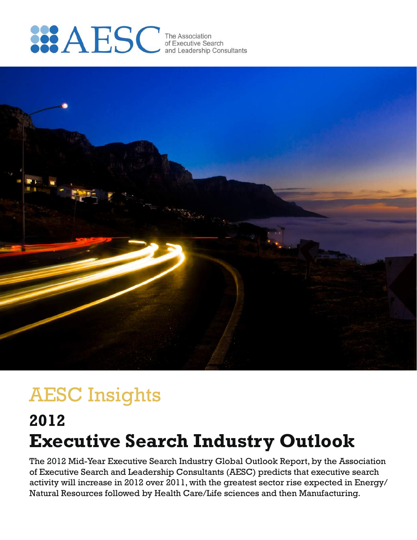



# AESC Insights

# **Executive Search Industry Outlook 2012**

The 2012 Mid-Year Executive Search Industry Global Outlook Report, by the Association of Executive Search and Leadership Consultants (AESC) predicts that executive search activity will increase in 2012 over 2011, with the greatest sector rise expected in Energy/ Natural Resources followed by Health Care/Life sciences and then Manufacturing.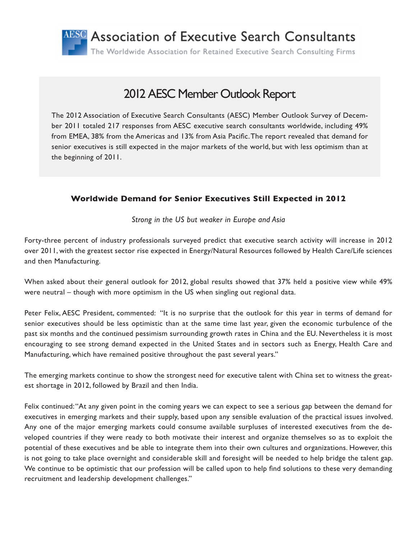

# 2012 AESC Member Outlook Report

The 2012 Association of Executive Search Consultants (AESC) Member Outlook Survey of December 2011 totaled 217 responses from AESC executive search consultants worldwide, including 49% from EMEA, 38% from the Americas and 13% from Asia Pacific. The report revealed that demand for senior executives is still expected in the major markets of the world, but with less optimism than at the beginning of 2011.

## **Worldwide Demand for Senior Executives Still Expected in 2012**

*Strong in the US but weaker in Europe and Asia*

Forty-three percent of industry professionals surveyed predict that executive search activity will increase in 2012 over 2011, with the greatest sector rise expected in Energy/Natural Resources followed by Health Care/Life sciences and then Manufacturing.

When asked about their general outlook for 2012, global results showed that 37% held a positive view while 49% were neutral – though with more optimism in the US when singling out regional data.

Peter Felix, AESC President, commented: "It is no surprise that the outlook for this year in terms of demand for senior executives should be less optimistic than at the same time last year, given the economic turbulence of the past six months and the continued pessimism surrounding growth rates in China and the EU. Nevertheless it is most encouraging to see strong demand expected in the United States and in sectors such as Energy, Health Care and Manufacturing, which have remained positive throughout the past several years."

The emerging markets continue to show the strongest need for executive talent with China set to witness the greatest shortage in 2012, followed by Brazil and then India.

Felix continued: "At any given point in the coming years we can expect to see a serious gap between the demand for executives in emerging markets and their supply, based upon any sensible evaluation of the practical issues involved. Any one of the major emerging markets could consume available surpluses of interested executives from the developed countries if they were ready to both motivate their interest and organize themselves so as to exploit the potential of these executives and be able to integrate them into their own cultures and organizations. However, this is not going to take place overnight and considerable skill and foresight will be needed to help bridge the talent gap. We continue to be optimistic that our profession will be called upon to help find solutions to these very demanding recruitment and leadership development challenges."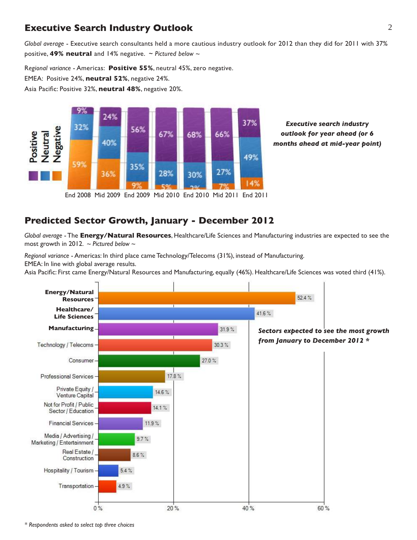# **Executive Search Industry Outlook** 2

*Global average* - Executive search consultants held a more cautious industry outlook for 2012 than they did for 2011 with 37% positive, **49% neutral** and 14% negative. ~ *Pictured below ~*

R*egional variance* - Americas: **Positive 55%**, neutral 45%, zero negative.

EMEA: Positive 24%, **neutral 52%**, negative 24%.

Asia Pacific: Positive 32%, **neutral 48%**, negative 20%.



*Executive search industry outlook for year ahead (or 6 months ahead at mid-year point)*

End 2008 Mid 2009 End 2009 Mid 2010 End 2010 Mid 2011 End 2011

## **Predicted Sector Growth, January - December 2012**

*Global average* - The **Energy/Natural Resources**, Healthcare/Life Sciences and Manufacturing industries are expected to see the most growth in 2012. *~ Pictured below ~*

*Regional variance* - Americas: In third place came Technology/Telecoms (31%), instead of Manufacturing. EMEA: In line with global average results.

Asia Pacific: First came Energy/Natural Resources and Manufacturing, equally (46%). Healthcare/Life Sciences was voted third (41%).

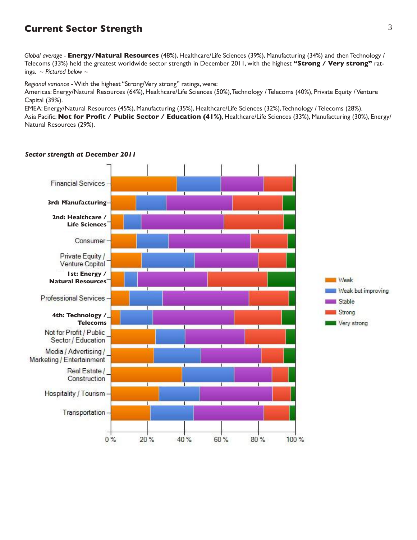# **Current Sector Strength**

*Global average -* **Energy/Natural Resources** (48%), Healthcare/Life Sciences (39%), Manufacturing (34%) and then Technology / Telecoms (33%) held the greatest worldwide sector strength in December 2011, with the highest **"Strong / Very strong"** ratings. *~ Pictured below ~*

*Regional variance* - With the highest "Strong/Very strong" ratings, were:

Americas: Energy/Natural Resources (64%), Healthcare/Life Sciences (50%), Technology / Telecoms (40%), Private Equity / Venture Capital (39%).

EMEA: Energy/Natural Resources (45%), Manufacturing (35%), Healthcare/Life Sciences (32%), Technology / Telecoms (28%). Asia Pacific: **Not for Profit / Public Sector / Education (41%)**, Healthcare/Life Sciences (33%), Manufacturing (30%), Energy/ Natural Resources (29%).



#### *Sector strength at December 2011*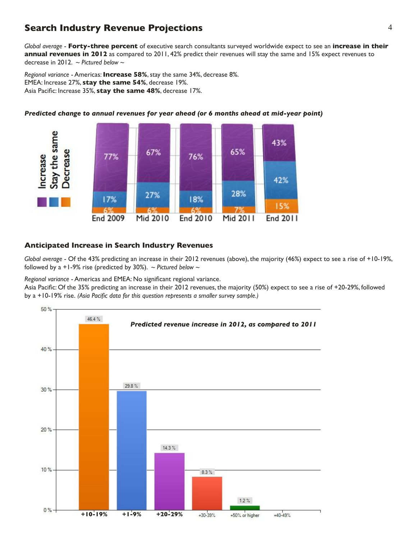# **Search Industry Revenue Projections** 4

*Global average* - **Forty-three percent** of executive search consultants surveyed worldwide expect to see an **increase in their annual revenues in 2012** as compared to 2011, 42% predict their revenues will stay the same and 15% expect revenues to decrease in 2012. *~ Pictured below ~*

*Regional variance* - Americas: **Increase 58%**, stay the same 34%, decrease 8%. EMEA: Increase 27%, **stay the same 54%**, decrease 19%. Asia Pacific: Increase 35%, **stay the same 48%**, decrease 17%.



*Predicted change to annual revenues for year ahead (or 6 months ahead at mid-year point)*

#### **Anticipated Increase in Search Industry Revenues**

*Global average* - Of the 43% predicting an increase in their 2012 revenues (above), the majority (46%) expect to see a rise of +10-19%, followed by a +1-9% rise (predicted by 30%). *~ Pictured below ~*

*Regional variance* - Americas and EMEA: No significant regional variance.

Asia Pacific: Of the 35% predicting an increase in their 2012 revenues, the majority (50%) expect to see a rise of +20-29%, followed by a +10-19% rise. *(Asia Pacific data for this question represents a smaller survey sample.)*

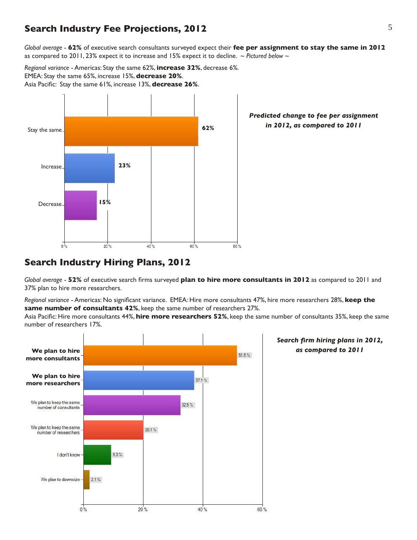## **Search Industry Fee Projections, 2012** 5

*Global average* - **62%** of executive search consultants surveyed expect their **fee per assignment to stay the same in 2012** as compared to 2011, 23% expect it to increase and 15% expect it to decline. *~ Pictured below ~*

*Regional variance* - Americas: Stay the same 62%, **increase 32%**, decrease 6%. EMEA: Stay the same 65%, increase 15%, **decrease 20%**. Asia Pacific: Stay the same 61%, increase 13%, **decrease 26%**.



*Predicted change to fee per assignment in 2012, as compared to 2011*

## **Search Industry Hiring Plans, 2012**

*Global average* - **52%** of executive search firms surveyed **plan to hire more consultants in 2012** as compared to 2011 and 37% plan to hire more researchers.

*Regional variance* - Americas: No significant variance. EMEA: Hire more consultants 47%, hire more researchers 28%, **keep the same number of consultants 42%**, keep the same number of researchers 27%.

Asia Pacific: Hire more consultants 44%, **hire more researchers 52%**, keep the same number of consultants 35%, keep the same number of researchers 17%.

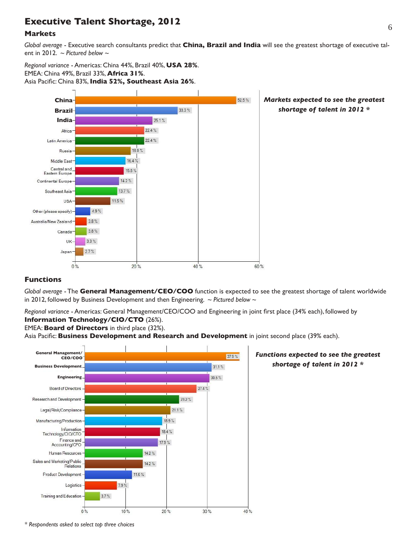# <sup>6</sup> **Executive Talent Shortage, 2012**

#### **Markets**

*Global average* - Executive search consultants predict that **China, Brazil and India** will see the greatest shortage of executive talent in 2012. *~ Pictured below ~*

*Regional variance* - Americas: China 44%, Brazil 40%, **USA 28%**. EMEA: China 49%, Brazil 33%, **Africa 31%**. Asia Pacific: China 83%, **India 52%, Southeast Asia 26%**.



#### **Functions**

*Global average* - The **General Management/CEO/COO** function is expected to see the greatest shortage of talent worldwide in 2012, followed by Business Development and then Engineering. *~ Pictured below ~*

*Regional variance* - Americas: General Management/CEO/COO and Engineering in joint first place (34% each), followed by **Information Technology/CIO/CTO** (26%).

EMEA: **Board of Directors** in third place (32%).

Asia Pacific: **Business Development and Research and Development** in joint second place (39% each).



#### *Functions expected to see the greatest shortage of talent in 2012 \**

*\* Respondents asked to select top three choices*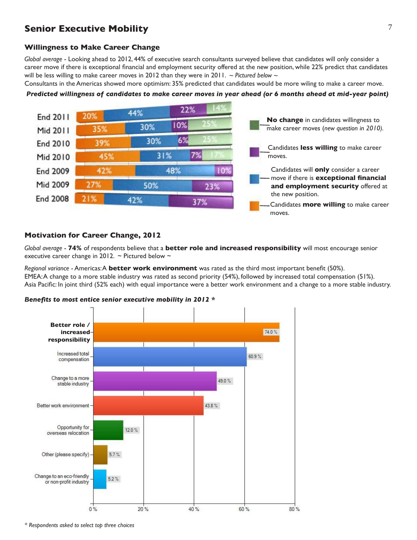# **Senior Executive Mobility**

#### **Willingness to Make Career Change**

*Global average* - Looking ahead to 2012, 44% of executive search consultants surveyed believe that candidates will only consider a career move if there is exceptional financial and employment security offered at the new position, while 22% predict that candidates will be less willing to make career moves in 2012 than they were in 2011. *~ Pictured below ~*

Consultants in the Americas showed more optimism: 35% predicted that candidates would be more wiling to make a career move.

#### *Predicted willingness of candidates to make career moves in year ahead (or 6 months ahead at mid-year point)*



#### **Motivation for Career Change, 2012**

*Global average* - **74%** of respondents believe that a **better role and increased responsibility** will most encourage senior executive career change in 2012.  $\sim$  Pictured below  $\sim$ 

*Regional variance* - Americas: A **better work environment** was rated as the third most important benefit (50%). EMEA: A change to a more stable industry was rated as second priority (54%), followed by increased total compensation (51%). Asia Pacific: In joint third (52% each) with equal importance were a better work environment and a change to a more stable industry.





*\* Respondents asked to select top three choices*